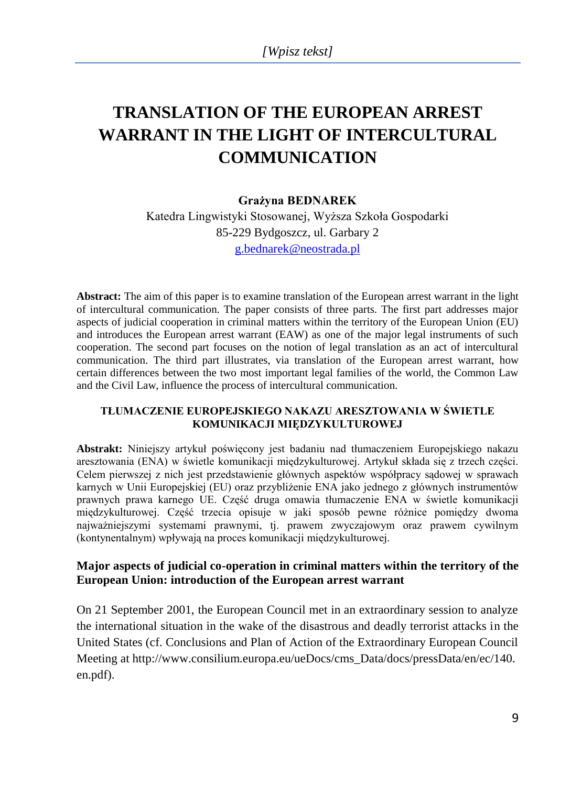# **TRANSLATION OF THE EUROPEAN ARREST WARRANT IN THE LIGHT OF INTERCULTURAL COMMUNICATION**

#### **Grażyna BEDNAREK**

Katedra Lingwistyki Stosowanej, Wyższa Szkoła Gospodarki 85-229 Bydgoszcz, ul. Garbary 2 [g.bednarek@neostrada.pl](mailto:g.bednarek@neostrada.pl)

**Abstract:** The aim of this paper is to examine translation of the European arrest warrant in the light of intercultural communication. The paper consists of three parts. The first part addresses major aspects of judicial cooperation in criminal matters within the territory of the European Union (EU) and introduces the European arrest warrant (EAW) as one of the major legal instruments of such cooperation. The second part focuses on the notion of legal translation as an act of intercultural communication. The third part illustrates, via translation of the European arrest warrant, how certain differences between the two most important legal families of the world, the Common Law and the Civil Law, influence the process of intercultural communication.

#### **TŁUMACZENIE EUROPEJSKIEGO NAKAZU ARESZTOWANIA W ŚWIETLE KOMUNIKACJI MIĘDZYKULTUROWEJ**

**Abstrakt:** Niniejszy artykuł poświęcony jest badaniu nad tłumaczeniem Europejskiego nakazu aresztowania (ENA) w świetle komunikacji międzykulturowej. Artykuł składa się z trzech części. Celem pierwszej z nich jest przedstawienie głównych aspektów współpracy sądowej w sprawach karnych w Unii Europejskiej (EU) oraz przybliżenie ENA jako jednego z głównych instrumentów prawnych prawa karnego UE. Część druga omawia tłumaczenie ENA w świetle komunikacji międzykulturowej. Część trzecia opisuje w jaki sposób pewne różnice pomiędzy dwoma najważniejszymi systemami prawnymi, tj. prawem zwyczajowym oraz prawem cywilnym (kontynentalnym) wpływają na proces komunikacji międzykulturowej.

#### **Major aspects of judicial co-operation in criminal matters within the territory of the European Union: introduction of the European arrest warrant**

On 21 September 2001, the European Council met in an extraordinary session to analyze the international situation in the wake of the disastrous and deadly terrorist attacks in the United States (cf. Conclusions and Plan of Action of the Extraordinary European Council Meeting at http://www.consilium.europa.eu/ueDocs/cms\_Data/docs/pressData/en/ec/140. en.pdf).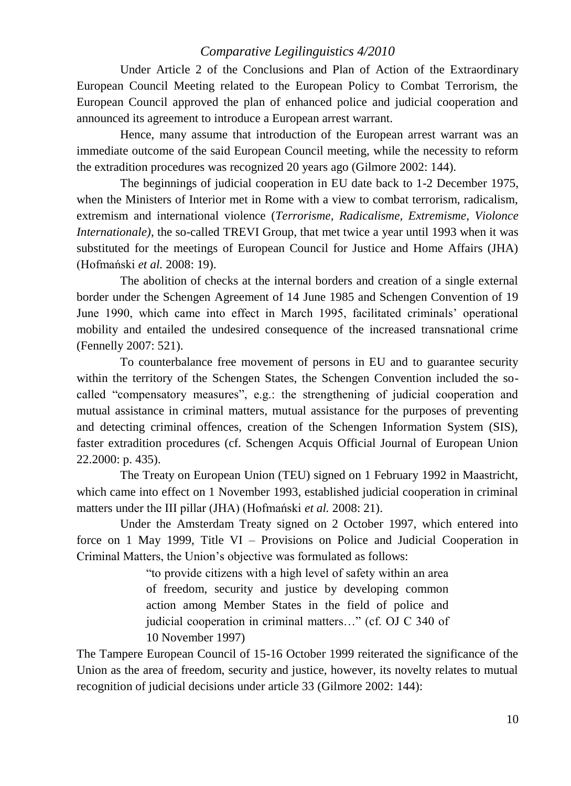Under Article 2 of the Conclusions and Plan of Action of the Extraordinary European Council Meeting related to the European Policy to Combat Terrorism, the European Council approved the plan of enhanced police and judicial cooperation and announced its agreement to introduce a European arrest warrant.

Hence, many assume that introduction of the European arrest warrant was an immediate outcome of the said European Council meeting, while the necessity to reform the extradition procedures was recognized 20 years ago (Gilmore 2002: 144).

The beginnings of judicial cooperation in EU date back to 1-2 December 1975, when the Ministers of Interior met in Rome with a view to combat terrorism, radicalism, extremism and international violence (*Terrorisme, Radicalisme, Extremisme, Violonce Internationale)*, the so-called TREVI Group, that met twice a year until 1993 when it was substituted for the meetings of European Council for Justice and Home Affairs (JHA) (Hofmański *et al.* 2008: 19).

The abolition of checks at the internal borders and creation of a single external border under the Schengen Agreement of 14 June 1985 and Schengen Convention of 19 June 1990, which came into effect in March 1995, facilitated criminals' operational mobility and entailed the undesired consequence of the increased transnational crime (Fennelly 2007: 521).

To counterbalance free movement of persons in EU and to guarantee security within the territory of the Schengen States, the Schengen Convention included the socalled "compensatory measures", e.g.: the strengthening of judicial cooperation and mutual assistance in criminal matters, mutual assistance for the purposes of preventing and detecting criminal offences, creation of the Schengen Information System (SIS), faster extradition procedures (cf. Schengen Acquis Official Journal of European Union 22.2000: p. 435).

The Treaty on European Union (TEU) signed on 1 February 1992 in Maastricht, which came into effect on 1 November 1993, established judicial cooperation in criminal matters under the III pillar (JHA) (Hofmański *et al.* 2008: 21).

Under the Amsterdam Treaty signed on 2 October 1997, which entered into force on 1 May 1999, Title VI – Provisions on Police and Judicial Cooperation in Criminal Matters, the Union's objective was formulated as follows:

> "to provide citizens with a high level of safety within an area of freedom, security and justice by developing common action among Member States in the field of police and judicial cooperation in criminal matters..." (cf. OJ C 340 of 10 November 1997)

The Tampere European Council of 15-16 October 1999 reiterated the significance of the Union as the area of freedom, security and justice, however, its novelty relates to mutual recognition of judicial decisions under article 33 (Gilmore 2002: 144):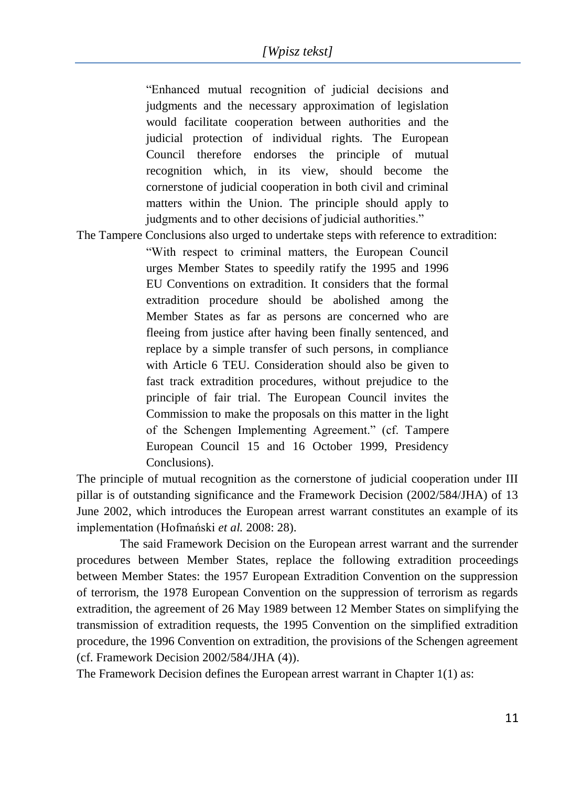―Enhanced mutual recognition of judicial decisions and judgments and the necessary approximation of legislation would facilitate cooperation between authorities and the judicial protection of individual rights. The European Council therefore endorses the principle of mutual recognition which, in its view, should become the cornerstone of judicial cooperation in both civil and criminal matters within the Union. The principle should apply to judgments and to other decisions of judicial authorities."

The Tampere Conclusions also urged to undertake steps with reference to extradition: ―With respect to criminal matters, the European Council urges Member States to speedily ratify the 1995 and 1996 EU Conventions on extradition. It considers that the formal extradition procedure should be abolished among the Member States as far as persons are concerned who are fleeing from justice after having been finally sentenced, and replace by a simple transfer of such persons, in compliance with Article 6 TEU. Consideration should also be given to fast track extradition procedures, without prejudice to the principle of fair trial. The European Council invites the Commission to make the proposals on this matter in the light of the Schengen Implementing Agreement.‖ (cf. Tampere European Council 15 and 16 October 1999, Presidency Conclusions).

The principle of mutual recognition as the cornerstone of judicial cooperation under III pillar is of outstanding significance and the Framework Decision (2002/584/JHA) of 13 June 2002, which introduces the European arrest warrant constitutes an example of its implementation (Hofmański *et al.* 2008: 28).

The said Framework Decision on the European arrest warrant and the surrender procedures between Member States, replace the following extradition proceedings between Member States: the 1957 European Extradition Convention on the suppression of terrorism, the 1978 European Convention on the suppression of terrorism as regards extradition, the agreement of 26 May 1989 between 12 Member States on simplifying the transmission of extradition requests, the 1995 Convention on the simplified extradition procedure, the 1996 Convention on extradition, the provisions of the Schengen agreement (cf. Framework Decision 2002/584/JHA (4)).

The Framework Decision defines the European arrest warrant in Chapter 1(1) as: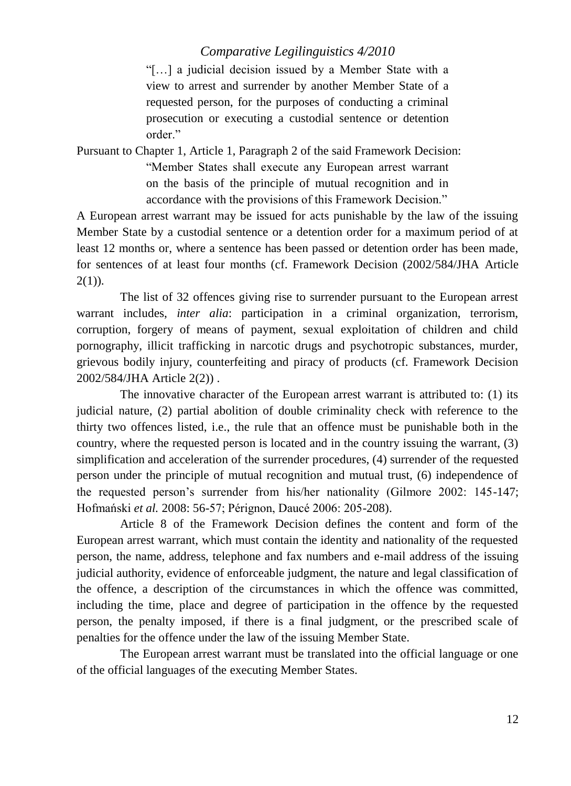―[…] a judicial decision issued by a Member State with a view to arrest and surrender by another Member State of a requested person, for the purposes of conducting a criminal prosecution or executing a custodial sentence or detention order<sup>"</sup>

Pursuant to Chapter 1, Article 1, Paragraph 2 of the said Framework Decision: ―Member States shall execute any European arrest warrant on the basis of the principle of mutual recognition and in accordance with the provisions of this Framework Decision."

A European arrest warrant may be issued for acts punishable by the law of the issuing Member State by a custodial sentence or a detention order for a maximum period of at least 12 months or, where a sentence has been passed or detention order has been made, for sentences of at least four months (cf. Framework Decision (2002/584/JHA Article  $2(1)$ ).

The list of 32 offences giving rise to surrender pursuant to the European arrest warrant includes, *inter alia*: participation in a criminal organization, terrorism, corruption, forgery of means of payment, sexual exploitation of children and child pornography, illicit trafficking in narcotic drugs and psychotropic substances, murder, grievous bodily injury, counterfeiting and piracy of products (cf. Framework Decision 2002/584/JHA Article 2(2)) .

The innovative character of the European arrest warrant is attributed to: (1) its judicial nature, (2) partial abolition of double criminality check with reference to the thirty two offences listed, i.e., the rule that an offence must be punishable both in the country, where the requested person is located and in the country issuing the warrant, (3) simplification and acceleration of the surrender procedures, (4) surrender of the requested person under the principle of mutual recognition and mutual trust, (6) independence of the requested person's surrender from his/her nationality (Gilmore 2002: 145-147; Hofmański *et al.* 2008: 56-57; Pérignon, Daucé 2006: 205-208).

Article 8 of the Framework Decision defines the content and form of the European arrest warrant, which must contain the identity and nationality of the requested person, the name, address, telephone and fax numbers and e-mail address of the issuing judicial authority, evidence of enforceable judgment, the nature and legal classification of the offence, a description of the circumstances in which the offence was committed, including the time, place and degree of participation in the offence by the requested person, the penalty imposed, if there is a final judgment, or the prescribed scale of penalties for the offence under the law of the issuing Member State.

The European arrest warrant must be translated into the official language or one of the official languages of the executing Member States.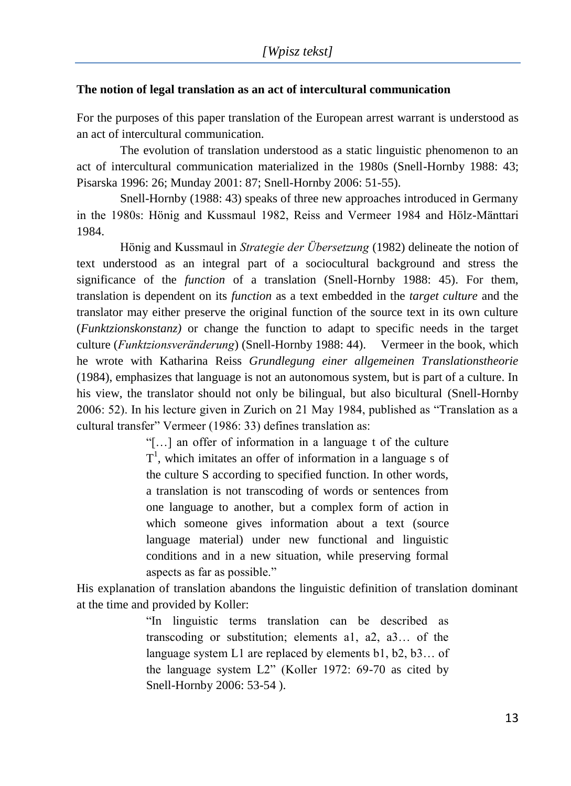#### **The notion of legal translation as an act of intercultural communication**

For the purposes of this paper translation of the European arrest warrant is understood as an act of intercultural communication.

The evolution of translation understood as a static linguistic phenomenon to an act of intercultural communication materialized in the 1980s (Snell-Hornby 1988: 43; Pisarska 1996: 26; Munday 2001: 87; Snell-Hornby 2006: 51-55).

Snell-Hornby (1988: 43) speaks of three new approaches introduced in Germany in the 1980s: Hönig and Kussmaul 1982, Reiss and Vermeer 1984 and Hölz-Mänttari 1984.

Hönig and Kussmaul in *Strategie der Übersetzung* (1982) delineate the notion of text understood as an integral part of a sociocultural background and stress the significance of the *function* of a translation (Snell-Hornby 1988: 45). For them, translation is dependent on its *function* as a text embedded in the *target culture* and the translator may either preserve the original function of the source text in its own culture (*Funktzionskonstanz)* or change the function to adapt to specific needs in the target culture (*Funktzionsveränderung*) (Snell-Hornby 1988: 44). Vermeer in the book, which he wrote with Katharina Reiss *Grundlegung einer allgemeinen Translationstheorie*  (1984), emphasizes that language is not an autonomous system, but is part of a culture. In his view, the translator should not only be bilingual, but also bicultural (Snell-Hornby  $2006: 52$ ). In his lecture given in Zurich on 21 May 1984, published as "Translation as a cultural transfer" Vermeer (1986: 33) defines translation as:

> ―[…] an offer of information in a language t of the culture  $T<sup>1</sup>$ , which imitates an offer of information in a language s of the culture S according to specified function. In other words, a translation is not transcoding of words or sentences from one language to another, but a complex form of action in which someone gives information about a text (source language material) under new functional and linguistic conditions and in a new situation, while preserving formal aspects as far as possible."

His explanation of translation abandons the linguistic definition of translation dominant at the time and provided by Koller:

> ―In linguistic terms translation can be described as transcoding or substitution; elements a1, a2, a3… of the language system L1 are replaced by elements b1, b2, b3… of the language system  $L2$ <sup>"</sup> (Koller 1972: 69-70 as cited by Snell-Hornby 2006: 53-54 ).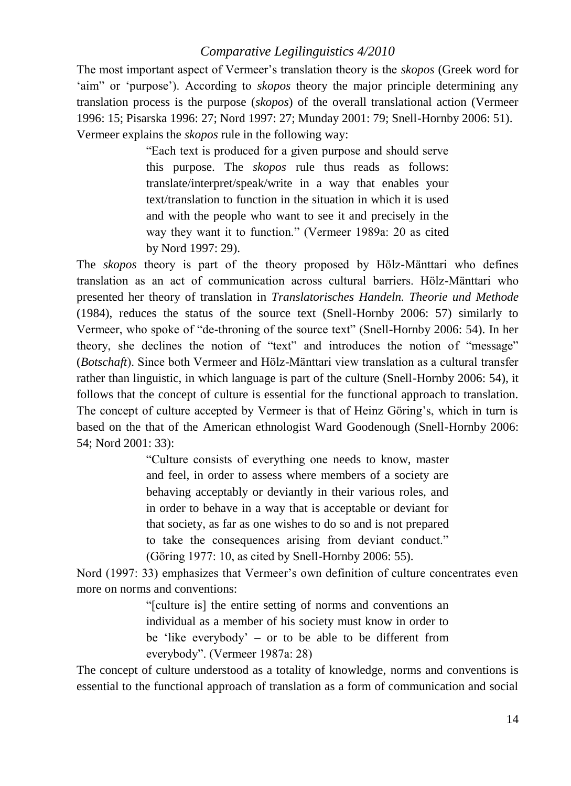The most important aspect of Vermeer's translation theory is the *skopos* (Greek word for ‗aim‖ or ‗purpose'). According to *skopos* theory the major principle determining any translation process is the purpose (*skopos*) of the overall translational action (Vermeer 1996: 15; Pisarska 1996: 27; Nord 1997: 27; Munday 2001: 79; Snell-Hornby 2006: 51). Vermeer explains the *skopos* rule in the following way:

> ―Each text is produced for a given purpose and should serve this purpose. The *skopos* rule thus reads as follows: translate/interpret/speak/write in a way that enables your text/translation to function in the situation in which it is used and with the people who want to see it and precisely in the way they want it to function." (Vermeer 1989a: 20 as cited by Nord 1997: 29).

The *skopos* theory is part of the theory proposed by Hölz-Mänttari who defines translation as an act of communication across cultural barriers. Hölz-Mänttari who presented her theory of translation in *Translatorisches Handeln. Theorie und Methode*  (1984), reduces the status of the source text (Snell-Hornby 2006: 57) similarly to Vermeer, who spoke of "de-throning of the source text" (Snell-Hornby 2006: 54). In her theory, she declines the notion of "text" and introduces the notion of "message" (*Botschaft*). Since both Vermeer and Hölz-Mänttari view translation as a cultural transfer rather than linguistic, in which language is part of the culture (Snell-Hornby 2006: 54), it follows that the concept of culture is essential for the functional approach to translation. The concept of culture accepted by Vermeer is that of Heinz Göring's, which in turn is based on the that of the American ethnologist Ward Goodenough (Snell-Hornby 2006: 54; Nord 2001: 33):

> ―Culture consists of everything one needs to know, master and feel, in order to assess where members of a society are behaving acceptably or deviantly in their various roles, and in order to behave in a way that is acceptable or deviant for that society, as far as one wishes to do so and is not prepared to take the consequences arising from deviant conduct." (Göring 1977: 10, as cited by Snell-Hornby 2006: 55).

Nord (1997: 33) emphasizes that Vermeer's own definition of culture concentrates even more on norms and conventions:

> ―[culture is] the entire setting of norms and conventions an individual as a member of his society must know in order to be 'like everybody' – or to be able to be different from everybody". (Vermeer 1987a: 28)

The concept of culture understood as a totality of knowledge, norms and conventions is essential to the functional approach of translation as a form of communication and social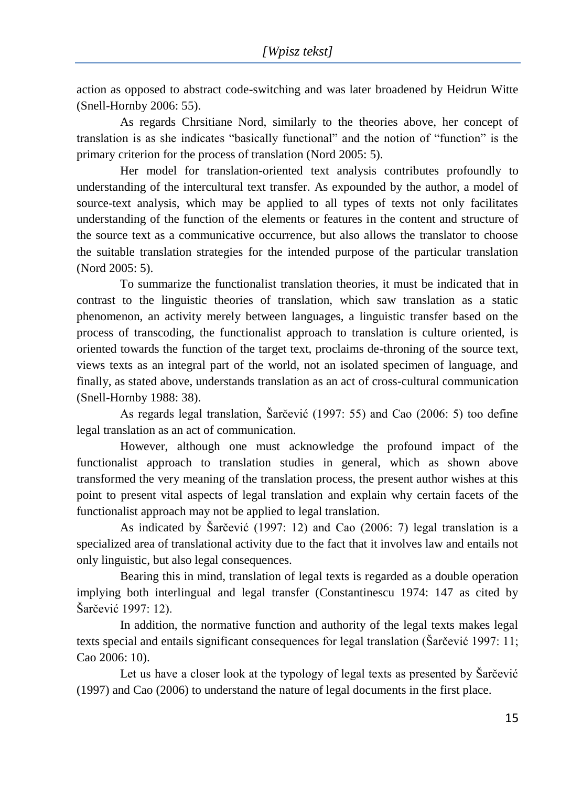action as opposed to abstract code-switching and was later broadened by Heidrun Witte (Snell-Hornby 2006: 55).

As regards Chrsitiane Nord, similarly to the theories above, her concept of translation is as she indicates "basically functional" and the notion of "function" is the primary criterion for the process of translation (Nord 2005: 5).

Her model for translation-oriented text analysis contributes profoundly to understanding of the intercultural text transfer. As expounded by the author, a model of source-text analysis, which may be applied to all types of texts not only facilitates understanding of the function of the elements or features in the content and structure of the source text as a communicative occurrence, but also allows the translator to choose the suitable translation strategies for the intended purpose of the particular translation (Nord 2005: 5).

To summarize the functionalist translation theories, it must be indicated that in contrast to the linguistic theories of translation, which saw translation as a static phenomenon, an activity merely between languages, a linguistic transfer based on the process of transcoding, the functionalist approach to translation is culture oriented, is oriented towards the function of the target text, proclaims de-throning of the source text, views texts as an integral part of the world, not an isolated specimen of language, and finally, as stated above, understands translation as an act of cross-cultural communication (Snell-Hornby 1988: 38).

As regards legal translation, Šarčević (1997: 55) and Cao (2006: 5) too define legal translation as an act of communication.

However, although one must acknowledge the profound impact of the functionalist approach to translation studies in general, which as shown above transformed the very meaning of the translation process, the present author wishes at this point to present vital aspects of legal translation and explain why certain facets of the functionalist approach may not be applied to legal translation.

As indicated by Ńarčević (1997: 12) and Cao (2006: 7) legal translation is a specialized area of translational activity due to the fact that it involves law and entails not only linguistic, but also legal consequences.

Bearing this in mind, translation of legal texts is regarded as a double operation implying both interlingual and legal transfer (Constantinescu 1974: 147 as cited by Šarčević 1997: 12).

In addition, the normative function and authority of the legal texts makes legal texts special and entails significant consequences for legal translation (Šarčević 1997: 11; Cao 2006: 10).

Let us have a closer look at the typology of legal texts as presented by Šarčević (1997) and Cao (2006) to understand the nature of legal documents in the first place.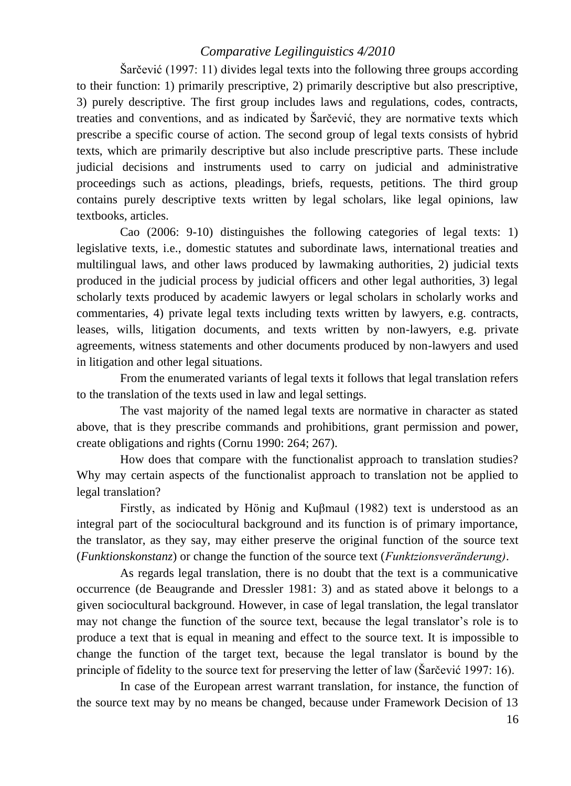Ńarčević (1997: 11) divides legal texts into the following three groups according to their function: 1) primarily prescriptive, 2) primarily descriptive but also prescriptive, 3) purely descriptive. The first group includes laws and regulations, codes, contracts, treaties and conventions, and as indicated by Ńarčević, they are normative texts which prescribe a specific course of action. The second group of legal texts consists of hybrid texts, which are primarily descriptive but also include prescriptive parts. These include judicial decisions and instruments used to carry on judicial and administrative proceedings such as actions, pleadings, briefs, requests, petitions. The third group contains purely descriptive texts written by legal scholars, like legal opinions, law textbooks, articles.

Cao (2006: 9-10) distinguishes the following categories of legal texts: 1) legislative texts, i.e., domestic statutes and subordinate laws, international treaties and multilingual laws, and other laws produced by lawmaking authorities, 2) judicial texts produced in the judicial process by judicial officers and other legal authorities, 3) legal scholarly texts produced by academic lawyers or legal scholars in scholarly works and commentaries, 4) private legal texts including texts written by lawyers, e.g. contracts, leases, wills, litigation documents, and texts written by non-lawyers, e.g. private agreements, witness statements and other documents produced by non-lawyers and used in litigation and other legal situations.

From the enumerated variants of legal texts it follows that legal translation refers to the translation of the texts used in law and legal settings.

The vast majority of the named legal texts are normative in character as stated above, that is they prescribe commands and prohibitions, grant permission and power, create obligations and rights (Cornu 1990: 264; 267).

How does that compare with the functionalist approach to translation studies? Why may certain aspects of the functionalist approach to translation not be applied to legal translation?

Firstly, as indicated by Hönig and Kuβmaul (1982) text is understood as an integral part of the sociocultural background and its function is of primary importance, the translator, as they say, may either preserve the original function of the source text (*Funktionskonstanz*) or change the function of the source text (*Funktzionsveränderung)*.

As regards legal translation, there is no doubt that the text is a communicative occurrence (de Beaugrande and Dressler 1981: 3) and as stated above it belongs to a given sociocultural background. However, in case of legal translation, the legal translator may not change the function of the source text, because the legal translator's role is to produce a text that is equal in meaning and effect to the source text. It is impossible to change the function of the target text, because the legal translator is bound by the principle of fidelity to the source text for preserving the letter of law (Šarčević 1997: 16).

In case of the European arrest warrant translation, for instance, the function of the source text may by no means be changed, because under Framework Decision of 13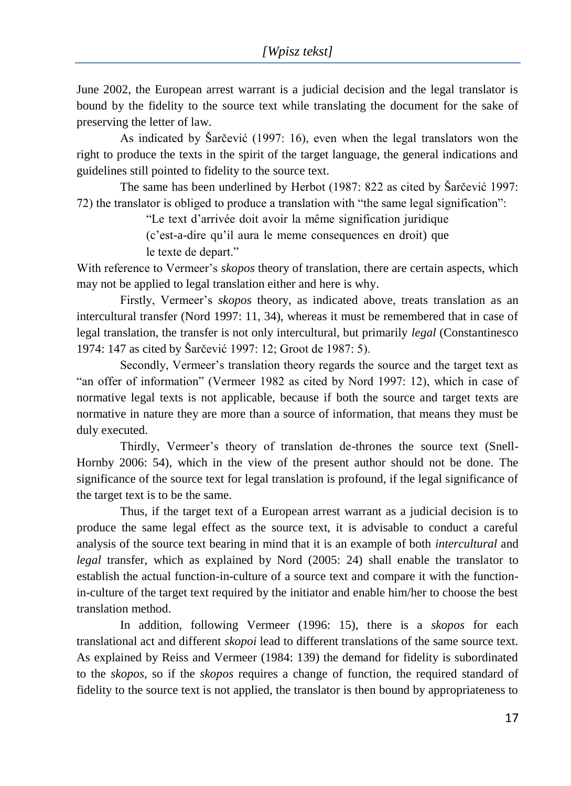June 2002, the European arrest warrant is a judicial decision and the legal translator is bound by the fidelity to the source text while translating the document for the sake of preserving the letter of law.

As indicated by Ńarčević (1997: 16), even when the legal translators won the right to produce the texts in the spirit of the target language, the general indications and guidelines still pointed to fidelity to the source text.

The same has been underlined by Herbot (1987: 822 as cited by Šarčević 1997:  $72$ ) the translator is obliged to produce a translation with "the same legal signification":

―Le text d'arrivée doit avoir la même signification juridique

(c'est-a-dire qu'il aura le meme consequences en droit) que le texte de depart."

With reference to Vermeer's *skopos* theory of translation, there are certain aspects, which may not be applied to legal translation either and here is why.

Firstly, Vermeer's *skopos* theory, as indicated above, treats translation as an intercultural transfer (Nord 1997: 11, 34), whereas it must be remembered that in case of legal translation, the transfer is not only intercultural, but primarily *legal* (Constantinesco 1974: 147 as cited by Ńarčević 1997: 12; Groot de 1987: 5).

Secondly, Vermeer's translation theory regards the source and the target text as "an offer of information" (Vermeer 1982 as cited by Nord 1997: 12), which in case of normative legal texts is not applicable, because if both the source and target texts are normative in nature they are more than a source of information, that means they must be duly executed.

Thirdly, Vermeer's theory of translation de-thrones the source text (Snell-Hornby 2006: 54), which in the view of the present author should not be done. The significance of the source text for legal translation is profound, if the legal significance of the target text is to be the same.

Thus, if the target text of a European arrest warrant as a judicial decision is to produce the same legal effect as the source text, it is advisable to conduct a careful analysis of the source text bearing in mind that it is an example of both *intercultural* and *legal* transfer, which as explained by Nord (2005: 24) shall enable the translator to establish the actual function-in-culture of a source text and compare it with the functionin-culture of the target text required by the initiator and enable him/her to choose the best translation method.

In addition, following Vermeer (1996: 15), there is a *skopos* for each translational act and different *skopoi* lead to different translations of the same source text. As explained by Reiss and Vermeer (1984: 139) the demand for fidelity is subordinated to the *skopos*, so if the *skopos* requires a change of function, the required standard of fidelity to the source text is not applied, the translator is then bound by appropriateness to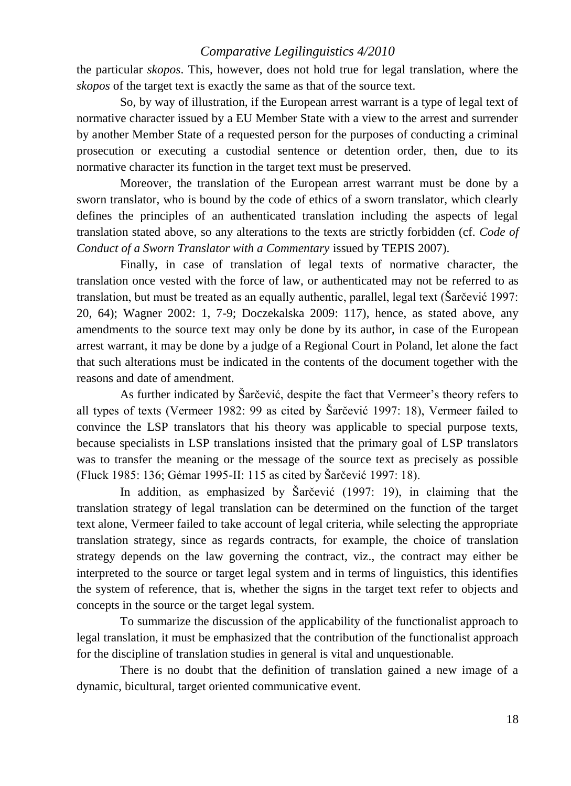the particular *skopos*. This, however, does not hold true for legal translation, where the *skopos* of the target text is exactly the same as that of the source text.

So, by way of illustration, if the European arrest warrant is a type of legal text of normative character issued by a EU Member State with a view to the arrest and surrender by another Member State of a requested person for the purposes of conducting a criminal prosecution or executing a custodial sentence or detention order, then, due to its normative character its function in the target text must be preserved.

Moreover, the translation of the European arrest warrant must be done by a sworn translator, who is bound by the code of ethics of a sworn translator, which clearly defines the principles of an authenticated translation including the aspects of legal translation stated above, so any alterations to the texts are strictly forbidden (cf. *Code of Conduct of a Sworn Translator with a Commentary* issued by TEPIS 2007).

Finally, in case of translation of legal texts of normative character, the translation once vested with the force of law, or authenticated may not be referred to as translation, but must be treated as an equally authentic, parallel, legal text (Šarčević 1997: 20, 64); Wagner 2002: 1, 7-9; Doczekalska 2009: 117), hence, as stated above, any amendments to the source text may only be done by its author, in case of the European arrest warrant, it may be done by a judge of a Regional Court in Poland, let alone the fact that such alterations must be indicated in the contents of the document together with the reasons and date of amendment.

As further indicated by Šarčević, despite the fact that Vermeer's theory refers to all types of texts (Vermeer 1982: 99 as cited by Ńarčević 1997: 18), Vermeer failed to convince the LSP translators that his theory was applicable to special purpose texts, because specialists in LSP translations insisted that the primary goal of LSP translators was to transfer the meaning or the message of the source text as precisely as possible (Fluck 1985: 136; Gémar 1995-II: 115 as cited by Ńarčević 1997: 18).

In addition, as emphasized by Šarčević (1997: 19), in claiming that the translation strategy of legal translation can be determined on the function of the target text alone, Vermeer failed to take account of legal criteria, while selecting the appropriate translation strategy, since as regards contracts, for example, the choice of translation strategy depends on the law governing the contract, viz., the contract may either be interpreted to the source or target legal system and in terms of linguistics, this identifies the system of reference, that is, whether the signs in the target text refer to objects and concepts in the source or the target legal system.

To summarize the discussion of the applicability of the functionalist approach to legal translation, it must be emphasized that the contribution of the functionalist approach for the discipline of translation studies in general is vital and unquestionable.

There is no doubt that the definition of translation gained a new image of a dynamic, bicultural, target oriented communicative event.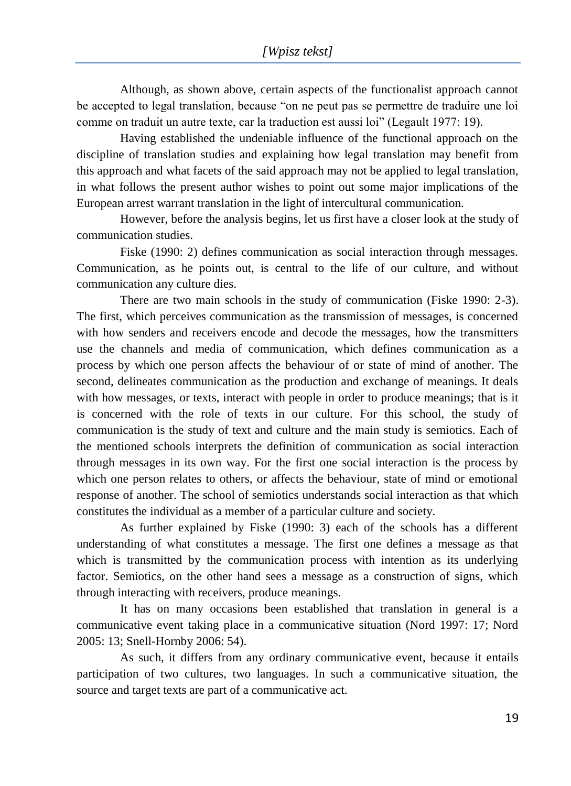Although, as shown above, certain aspects of the functionalist approach cannot be accepted to legal translation, because "on ne peut pas se permettre de traduire une loi comme on traduit un autre texte, car la traduction est aussi loi" (Legault 1977: 19).

Having established the undeniable influence of the functional approach on the discipline of translation studies and explaining how legal translation may benefit from this approach and what facets of the said approach may not be applied to legal translation, in what follows the present author wishes to point out some major implications of the European arrest warrant translation in the light of intercultural communication.

However, before the analysis begins, let us first have a closer look at the study of communication studies.

Fiske (1990: 2) defines communication as social interaction through messages. Communication, as he points out, is central to the life of our culture, and without communication any culture dies.

There are two main schools in the study of communication (Fiske 1990: 2-3). The first, which perceives communication as the transmission of messages, is concerned with how senders and receivers encode and decode the messages, how the transmitters use the channels and media of communication, which defines communication as a process by which one person affects the behaviour of or state of mind of another. The second, delineates communication as the production and exchange of meanings. It deals with how messages, or texts, interact with people in order to produce meanings; that is it is concerned with the role of texts in our culture. For this school, the study of communication is the study of text and culture and the main study is semiotics. Each of the mentioned schools interprets the definition of communication as social interaction through messages in its own way. For the first one social interaction is the process by which one person relates to others, or affects the behaviour, state of mind or emotional response of another. The school of semiotics understands social interaction as that which constitutes the individual as a member of a particular culture and society.

As further explained by Fiske (1990: 3) each of the schools has a different understanding of what constitutes a message. The first one defines a message as that which is transmitted by the communication process with intention as its underlying factor. Semiotics, on the other hand sees a message as a construction of signs, which through interacting with receivers, produce meanings.

It has on many occasions been established that translation in general is a communicative event taking place in a communicative situation (Nord 1997: 17; Nord 2005: 13; Snell-Hornby 2006: 54).

As such, it differs from any ordinary communicative event, because it entails participation of two cultures, two languages. In such a communicative situation, the source and target texts are part of a communicative act.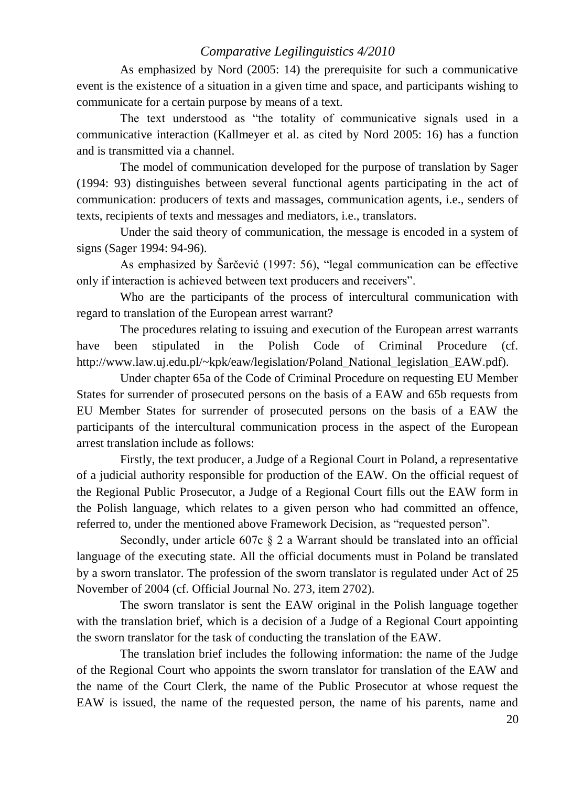As emphasized by Nord (2005: 14) the prerequisite for such a communicative event is the existence of a situation in a given time and space, and participants wishing to communicate for a certain purpose by means of a text.

The text understood as "the totality of communicative signals used in a communicative interaction (Kallmeyer et al. as cited by Nord 2005: 16) has a function and is transmitted via a channel.

The model of communication developed for the purpose of translation by Sager (1994: 93) distinguishes between several functional agents participating in the act of communication: producers of texts and massages, communication agents, i.e., senders of texts, recipients of texts and messages and mediators, i.e., translators.

Under the said theory of communication, the message is encoded in a system of signs (Sager 1994: 94-96).

As emphasized by Šarčević (1997: 56), "legal communication can be effective only if interaction is achieved between text producers and receivers".

Who are the participants of the process of intercultural communication with regard to translation of the European arrest warrant?

The procedures relating to issuing and execution of the European arrest warrants have been stipulated in the Polish Code of Criminal Procedure (cf. http://www.law.uj.edu.pl/~kpk/eaw/legislation/Poland\_National\_legislation\_EAW.pdf).

Under chapter 65a of the Code of Criminal Procedure on requesting EU Member States for surrender of prosecuted persons on the basis of a EAW and 65b requests from EU Member States for surrender of prosecuted persons on the basis of a EAW the participants of the intercultural communication process in the aspect of the European arrest translation include as follows:

Firstly, the text producer, a Judge of a Regional Court in Poland, a representative of a judicial authority responsible for production of the EAW. On the official request of the Regional Public Prosecutor, a Judge of a Regional Court fills out the EAW form in the Polish language, which relates to a given person who had committed an offence, referred to, under the mentioned above Framework Decision, as "requested person".

Secondly, under article 607c § 2 a Warrant should be translated into an official language of the executing state. All the official documents must in Poland be translated by a sworn translator. The profession of the sworn translator is regulated under Act of 25 November of 2004 (cf. Official Journal No. 273, item 2702).

The sworn translator is sent the EAW original in the Polish language together with the translation brief, which is a decision of a Judge of a Regional Court appointing the sworn translator for the task of conducting the translation of the EAW.

The translation brief includes the following information: the name of the Judge of the Regional Court who appoints the sworn translator for translation of the EAW and the name of the Court Clerk, the name of the Public Prosecutor at whose request the EAW is issued, the name of the requested person, the name of his parents, name and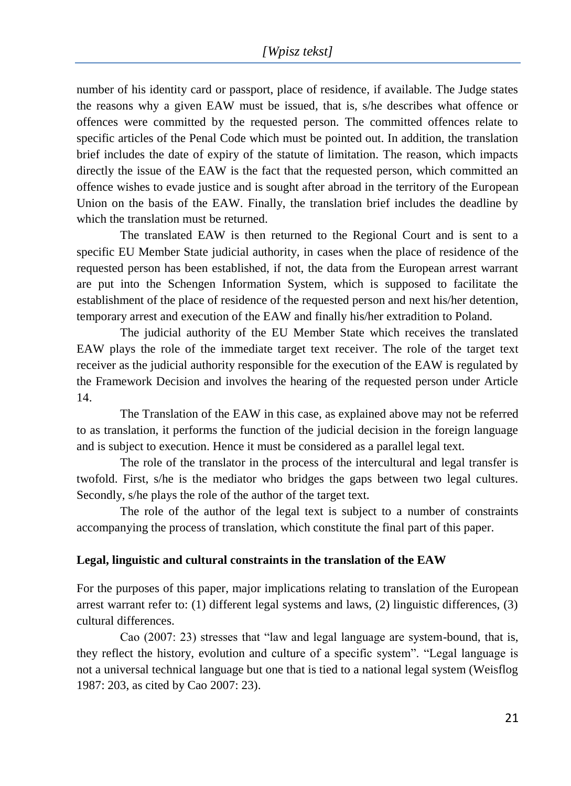number of his identity card or passport, place of residence, if available. The Judge states the reasons why a given EAW must be issued, that is, s/he describes what offence or offences were committed by the requested person. The committed offences relate to specific articles of the Penal Code which must be pointed out. In addition, the translation brief includes the date of expiry of the statute of limitation. The reason, which impacts directly the issue of the EAW is the fact that the requested person, which committed an offence wishes to evade justice and is sought after abroad in the territory of the European Union on the basis of the EAW. Finally, the translation brief includes the deadline by which the translation must be returned.

The translated EAW is then returned to the Regional Court and is sent to a specific EU Member State judicial authority, in cases when the place of residence of the requested person has been established, if not, the data from the European arrest warrant are put into the Schengen Information System, which is supposed to facilitate the establishment of the place of residence of the requested person and next his/her detention, temporary arrest and execution of the EAW and finally his/her extradition to Poland.

The judicial authority of the EU Member State which receives the translated EAW plays the role of the immediate target text receiver. The role of the target text receiver as the judicial authority responsible for the execution of the EAW is regulated by the Framework Decision and involves the hearing of the requested person under Article 14.

The Translation of the EAW in this case, as explained above may not be referred to as translation, it performs the function of the judicial decision in the foreign language and is subject to execution. Hence it must be considered as a parallel legal text.

The role of the translator in the process of the intercultural and legal transfer is twofold. First, s/he is the mediator who bridges the gaps between two legal cultures. Secondly, s/he plays the role of the author of the target text.

The role of the author of the legal text is subject to a number of constraints accompanying the process of translation, which constitute the final part of this paper.

#### **Legal, linguistic and cultural constraints in the translation of the EAW**

For the purposes of this paper, major implications relating to translation of the European arrest warrant refer to: (1) different legal systems and laws, (2) linguistic differences, (3) cultural differences.

Cao  $(2007: 23)$  stresses that "law and legal language are system-bound, that is, they reflect the history, evolution and culture of a specific system". "Legal language is not a universal technical language but one that is tied to a national legal system (Weisflog 1987: 203, as cited by Cao 2007: 23).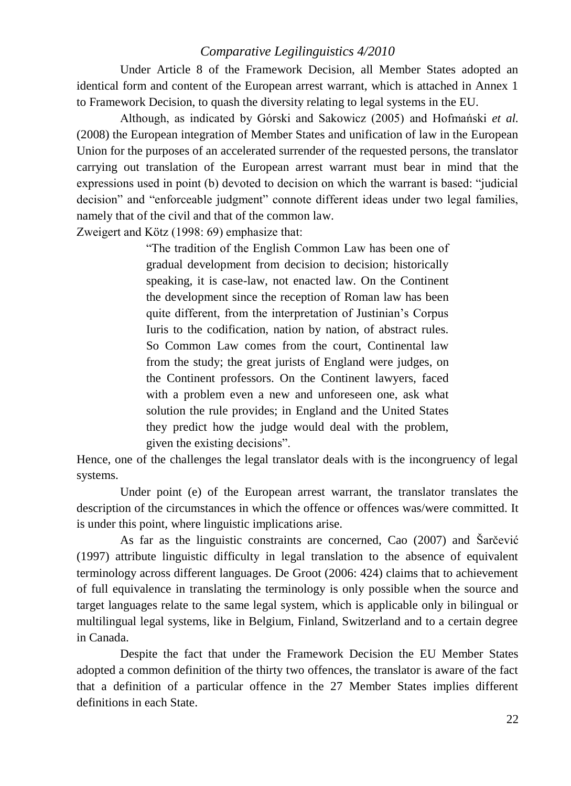Under Article 8 of the Framework Decision, all Member States adopted an identical form and content of the European arrest warrant, which is attached in Annex 1 to Framework Decision, to quash the diversity relating to legal systems in the EU.

Although, as indicated by Górski and Sakowicz (2005) and Hofmański *et al.* (2008) the European integration of Member States and unification of law in the European Union for the purposes of an accelerated surrender of the requested persons, the translator carrying out translation of the European arrest warrant must bear in mind that the expressions used in point (b) devoted to decision on which the warrant is based: "judicial decision" and "enforceable judgment" connote different ideas under two legal families, namely that of the civil and that of the common law.

Zweigert and Kötz (1998: 69) emphasize that:

―The tradition of the English Common Law has been one of gradual development from decision to decision; historically speaking, it is case-law, not enacted law. On the Continent the development since the reception of Roman law has been quite different, from the interpretation of Justinian's Corpus Iuris to the codification, nation by nation, of abstract rules. So Common Law comes from the court, Continental law from the study; the great jurists of England were judges, on the Continent professors. On the Continent lawyers, faced with a problem even a new and unforeseen one, ask what solution the rule provides; in England and the United States they predict how the judge would deal with the problem, given the existing decisions".

Hence, one of the challenges the legal translator deals with is the incongruency of legal systems.

Under point (e) of the European arrest warrant, the translator translates the description of the circumstances in which the offence or offences was/were committed. It is under this point, where linguistic implications arise.

As far as the linguistic constraints are concerned, Cao (2007) and Šarčević (1997) attribute linguistic difficulty in legal translation to the absence of equivalent terminology across different languages. De Groot (2006: 424) claims that to achievement of full equivalence in translating the terminology is only possible when the source and target languages relate to the same legal system, which is applicable only in bilingual or multilingual legal systems, like in Belgium, Finland, Switzerland and to a certain degree in Canada.

Despite the fact that under the Framework Decision the EU Member States adopted a common definition of the thirty two offences, the translator is aware of the fact that a definition of a particular offence in the 27 Member States implies different definitions in each State.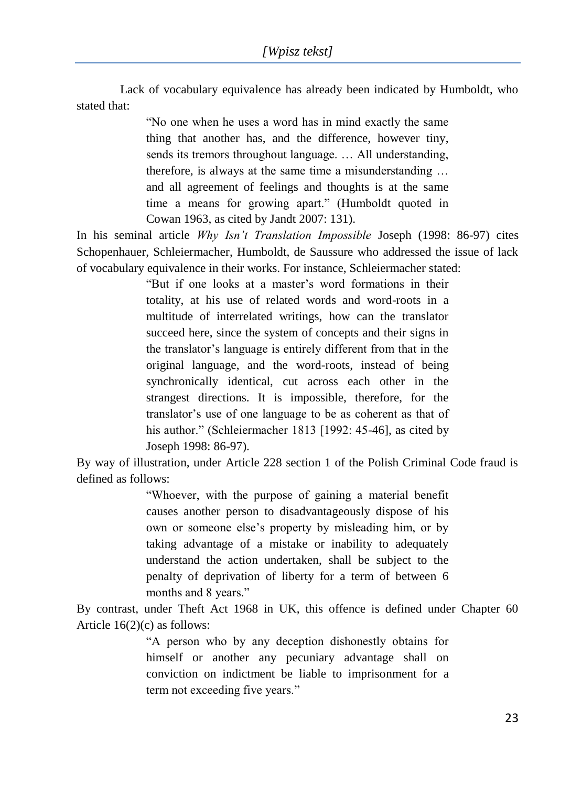Lack of vocabulary equivalence has already been indicated by Humboldt, who stated that:

> ―No one when he uses a word has in mind exactly the same thing that another has, and the difference, however tiny, sends its tremors throughout language. … All understanding, therefore, is always at the same time a misunderstanding … and all agreement of feelings and thoughts is at the same time a means for growing apart." (Humboldt quoted in Cowan 1963, as cited by Jandt 2007: 131).

In his seminal article *Why Isn"t Translation Impossible* Joseph (1998: 86-97) cites Schopenhauer, Schleiermacher, Humboldt, de Saussure who addressed the issue of lack of vocabulary equivalence in their works. For instance, Schleiermacher stated:

> ―But if one looks at a master's word formations in their totality, at his use of related words and word-roots in a multitude of interrelated writings, how can the translator succeed here, since the system of concepts and their signs in the translator's language is entirely different from that in the original language, and the word-roots, instead of being synchronically identical, cut across each other in the strangest directions. It is impossible, therefore, for the translator's use of one language to be as coherent as that of his author." (Schleiermacher 1813 [1992: 45-46], as cited by Joseph 1998: 86-97).

By way of illustration, under Article 228 section 1 of the Polish Criminal Code fraud is defined as follows:

> ―Whoever, with the purpose of gaining a material benefit causes another person to disadvantageously dispose of his own or someone else's property by misleading him, or by taking advantage of a mistake or inability to adequately understand the action undertaken, shall be subject to the penalty of deprivation of liberty for a term of between 6 months and 8 years."

By contrast, under Theft Act 1968 in UK, this offence is defined under Chapter 60 Article 16(2)(c) as follows:

> ―A person who by any deception dishonestly obtains for himself or another any pecuniary advantage shall on conviction on indictment be liable to imprisonment for a term not exceeding five years."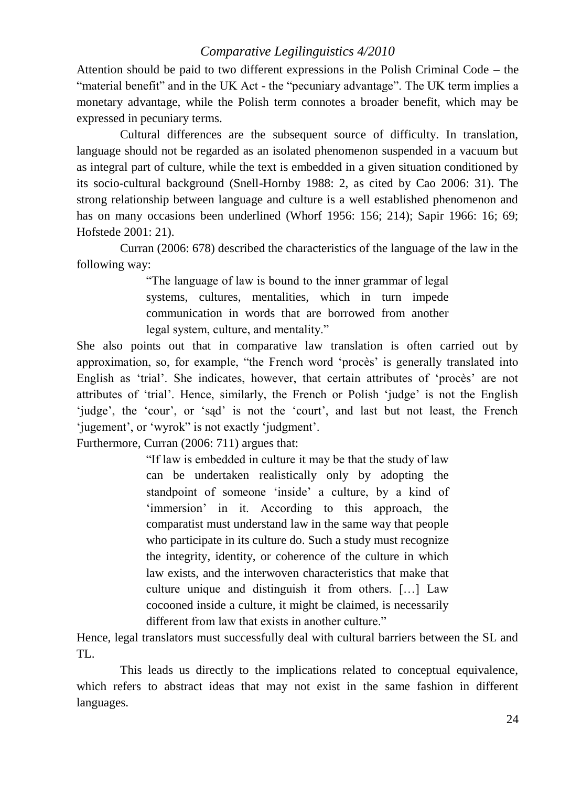Attention should be paid to two different expressions in the Polish Criminal Code – the "material benefit" and in the UK Act - the "pecuniary advantage". The UK term implies a monetary advantage, while the Polish term connotes a broader benefit, which may be expressed in pecuniary terms.

Cultural differences are the subsequent source of difficulty. In translation, language should not be regarded as an isolated phenomenon suspended in a vacuum but as integral part of culture, while the text is embedded in a given situation conditioned by its socio-cultural background (Snell-Hornby 1988: 2, as cited by Cao 2006: 31). The strong relationship between language and culture is a well established phenomenon and has on many occasions been underlined (Whorf 1956: 156; 214); Sapir 1966: 16; 69; Hofstede 2001: 21).

Curran (2006: 678) described the characteristics of the language of the law in the following way:

> ―The language of law is bound to the inner grammar of legal systems, cultures, mentalities, which in turn impede communication in words that are borrowed from another legal system, culture, and mentality."

She also points out that in comparative law translation is often carried out by approximation, so, for example, "the French word 'procès' is generally translated into English as 'trial'. She indicates, however, that certain attributes of 'procès' are not attributes of 'trial'. Hence, similarly, the French or Polish 'judge' is not the English ‗judge', the ‗cour', or ‗sąd' is not the ‗court', and last but not least, the French 'jugement', or 'wyrok'' is not exactly 'judgment'.

Furthermore, Curran (2006: 711) argues that:

"If law is embedded in culture it may be that the study of law can be undertaken realistically only by adopting the standpoint of someone 'inside' a culture, by a kind of ‗immersion' in it. According to this approach, the comparatist must understand law in the same way that people who participate in its culture do. Such a study must recognize the integrity, identity, or coherence of the culture in which law exists, and the interwoven characteristics that make that culture unique and distinguish it from others. […] Law cocooned inside a culture, it might be claimed, is necessarily different from law that exists in another culture."

Hence, legal translators must successfully deal with cultural barriers between the SL and TL.

This leads us directly to the implications related to conceptual equivalence, which refers to abstract ideas that may not exist in the same fashion in different languages.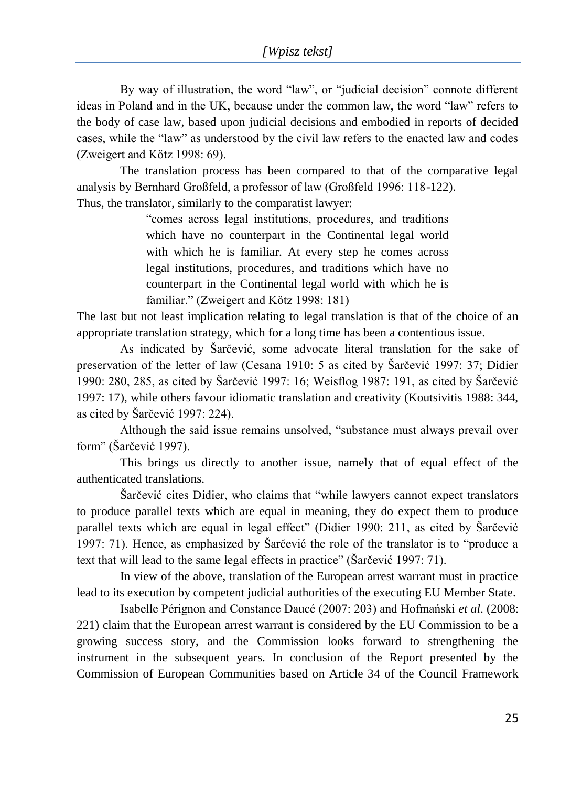By way of illustration, the word "law", or "judicial decision" connote different ideas in Poland and in the UK, because under the common law, the word "law" refers to the body of case law, based upon judicial decisions and embodied in reports of decided cases, while the "law" as understood by the civil law refers to the enacted law and codes (Zweigert and Kötz 1998: 69).

The translation process has been compared to that of the comparative legal analysis by Bernhard Großfeld, a professor of law (Großfeld 1996: 118-122). Thus, the translator, similarly to the comparatist lawyer:

> ―comes across legal institutions, procedures, and traditions which have no counterpart in the Continental legal world with which he is familiar. At every step he comes across legal institutions, procedures, and traditions which have no counterpart in the Continental legal world with which he is familiar." (Zweigert and Kötz 1998: 181)

The last but not least implication relating to legal translation is that of the choice of an appropriate translation strategy, which for a long time has been a contentious issue.

As indicated by Ńarčević, some advocate literal translation for the sake of preservation of the letter of law (Cesana 1910: 5 as cited by Ńarčević 1997: 37; Didier 1990: 280, 285, as cited by Ńarčević 1997: 16; Weisflog 1987: 191, as cited by Ńarčević 1997: 17), while others favour idiomatic translation and creativity (Koutsivitis 1988: 344, as cited by Ńarčević 1997: 224).

Although the said issue remains unsolved, "substance must always prevail over form" (Šarčević 1997).

This brings us directly to another issue, namely that of equal effect of the authenticated translations.

Šarčević cites Didier, who claims that "while lawyers cannot expect translators to produce parallel texts which are equal in meaning, they do expect them to produce parallel texts which are equal in legal effect" (Didier 1990: 211, as cited by Šarčević 1997: 71). Hence, as emphasized by Šarčević the role of the translator is to "produce a text that will lead to the same legal effects in practice" ( $\text{\r{S}}\ar{\r{c}}\text{\r{e}}\text{\r{e}}$ ) ( $\text{\r{S}}\ar{\r{c}}\ar{\r{c}}\ar{\r{c}}$ ).

In view of the above, translation of the European arrest warrant must in practice lead to its execution by competent judicial authorities of the executing EU Member State.

Isabelle Pérignon and Constance Daucé (2007: 203) and Hofmański *et al*. (2008: 221) claim that the European arrest warrant is considered by the EU Commission to be a growing success story, and the Commission looks forward to strengthening the instrument in the subsequent years. In conclusion of the Report presented by the Commission of European Communities based on Article 34 of the Council Framework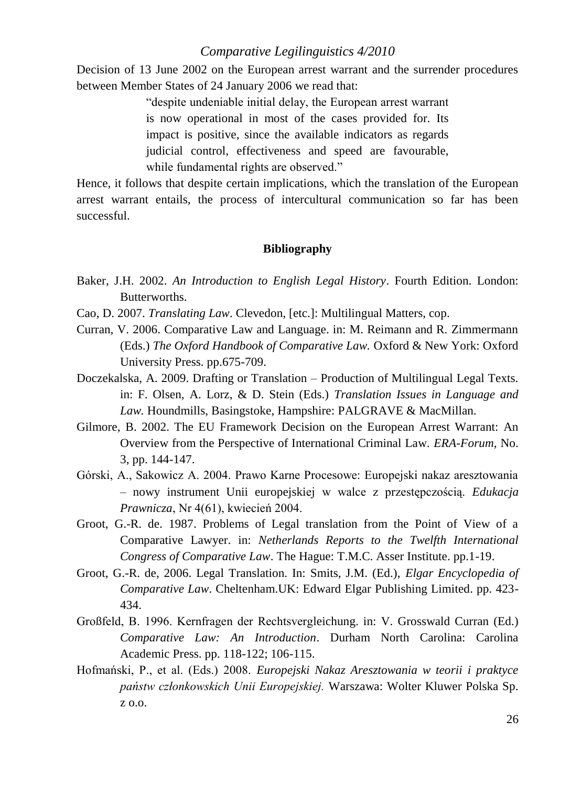Decision of 13 June 2002 on the European arrest warrant and the surrender procedures between Member States of 24 January 2006 we read that:

> "despite undeniable initial delay, the European arrest warrant is now operational in most of the cases provided for. Its impact is positive, since the available indicators as regards judicial control, effectiveness and speed are favourable, while fundamental rights are observed."

Hence, it follows that despite certain implications, which the translation of the European arrest warrant entails, the process of intercultural communication so far has been successful.

#### **Bibliography**

- Baker, J.H. 2002. *An Introduction to English Legal History*. Fourth Edition. London: Butterworths.
- Cao, D. 2007. *Translating Law*. Clevedon, [etc.]: Multilingual Matters, cop.
- Curran, V. 2006. Comparative Law and Language. in: M. Reimann and R. Zimmermann (Eds.) *The Oxford Handbook of Comparative Law.* Oxford & New York: Oxford University Press. pp.675-709.
- Doczekalska, A. 2009. Drafting or Translation Production of Multilingual Legal Texts. in: F. Olsen, A. Lorz, & D. Stein (Eds.) *Translation Issues in Language and Law.* Houndmills, Basingstoke, Hampshire: PALGRAVE & MacMillan.
- Gilmore, B. 2002. The EU Framework Decision on the European Arrest Warrant: An Overview from the Perspective of International Criminal Law. *ERA-Forum*, No. 3, pp. 144-147.
- Górski, A., Sakowicz A. 2004. Prawo Karne Procesowe: Europejski nakaz aresztowania – nowy instrument Unii europejskiej w walce z przestępczością. *Edukacja Prawnicza*, Nr 4(61), kwiecień 2004.
- Groot, G.-R. de. 1987. Problems of Legal translation from the Point of View of a Comparative Lawyer. in: *Netherlands Reports to the Twelfth International Congress of Comparative Law*. The Hague: T.M.C. Asser Institute. pp.1-19.
- Groot, G.-R. de, 2006. Legal Translation. In: Smits, J.M. (Ed.), *Elgar Encyclopedia of Comparative Law*. Cheltenham.UK: Edward Elgar Publishing Limited. pp. 423- 434.
- Großfeld, B. 1996. Kernfragen der Rechtsvergleichung. in: V. Grosswald Curran (Ed.) *Comparative Law: An Introduction*. Durham North Carolina: Carolina Academic Press. pp. 118-122; 106-115.
- Hofmański, P., et al. (Eds.) 2008. *Europejski Nakaz Aresztowania w teorii i praktyce państw członkowskich Unii Europejskiej.* Warszawa: Wolter Kluwer Polska Sp. z o.o.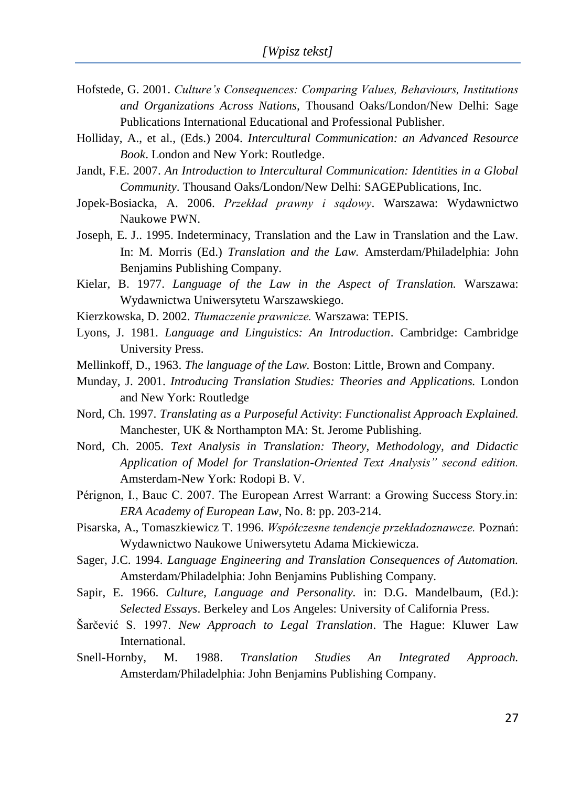- Hofstede, G. 2001. *Culture"s Consequences: Comparing Values, Behaviours, Institutions and Organizations Across Nations,* Thousand Oaks/London/New Delhi: Sage Publications International Educational and Professional Publisher.
- Holliday, A., et al., (Eds.) 2004. *Intercultural Communication: an Advanced Resource Book*. London and New York: Routledge.
- Jandt, F.E. 2007. *An Introduction to Intercultural Communication: Identities in a Global Community*. Thousand Oaks/London/New Delhi: SAGEPublications, Inc.
- Jopek-Bosiacka, A. 2006. *Przekład prawny i sądowy*. Warszawa: Wydawnictwo Naukowe PWN.
- Joseph, E. J.. 1995. Indeterminacy, Translation and the Law in Translation and the Law*.*  In: M. Morris (Ed.) *Translation and the Law.* Amsterdam/Philadelphia: John Benjamins Publishing Company.
- Kielar, B. 1977. *Language of the Law in the Aspect of Translation.* Warszawa: Wydawnictwa Uniwersytetu Warszawskiego.
- Kierzkowska, D. 2002. *Tłumaczenie prawnicze.* Warszawa: TEPIS.
- Lyons, J. 1981. *Language and Linguistics: An Introduction*. Cambridge: Cambridge University Press.
- Mellinkoff, D., 1963. *The language of the Law.* Boston: Little, Brown and Company.
- Munday, J. 2001. *Introducing Translation Studies: Theories and Applications.* London and New York: Routledge
- Nord, Ch. 1997. *Translating as a Purposeful Activity*: *Functionalist Approach Explained.* Manchester, UK & Northampton MA: St. Jerome Publishing.
- Nord, Ch. 2005. *Text Analysis in Translation: Theory, Methodology, and Didactic Application of Model for Translation-Oriented Text Analysis" second edition.* Amsterdam-New York: Rodopi B. V.
- Pérignon, I., Bauc C. 2007. The European Arrest Warrant: a Growing Success Story.in: *ERA Academy of European Law*, No. 8: pp. 203-214.
- Pisarska, A., Tomaszkiewicz T. 1996. *Współczesne tendencje przekładoznawcze.* Poznań: Wydawnictwo Naukowe Uniwersytetu Adama Mickiewicza.
- Sager, J.C. 1994. *Language Engineering and Translation Consequences of Automation.*  Amsterdam/Philadelphia: John Benjamins Publishing Company.
- Sapir, E. 1966. *Culture, Language and Personality.* in: D.G. Mandelbaum, (Ed.): *Selected Essays*. Berkeley and Los Angeles: University of California Press.
- Ńarčević S. 1997. *New Approach to Legal Translation*. The Hague: Kluwer Law International.
- Snell-Hornby, M. 1988. *Translation Studies An Integrated Approach.* Amsterdam/Philadelphia: John Benjamins Publishing Company.